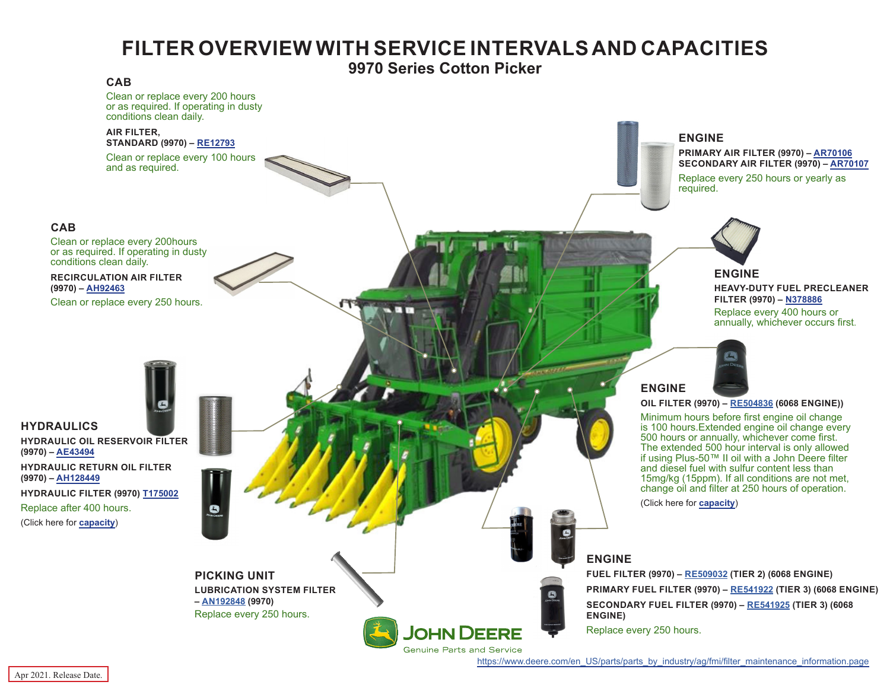## **FILTER OVERVIEW WITH SERVICE INTERVALS AND CAPACITIES**

**9970 Series Cotton Picker**

<span id="page-0-0"></span>